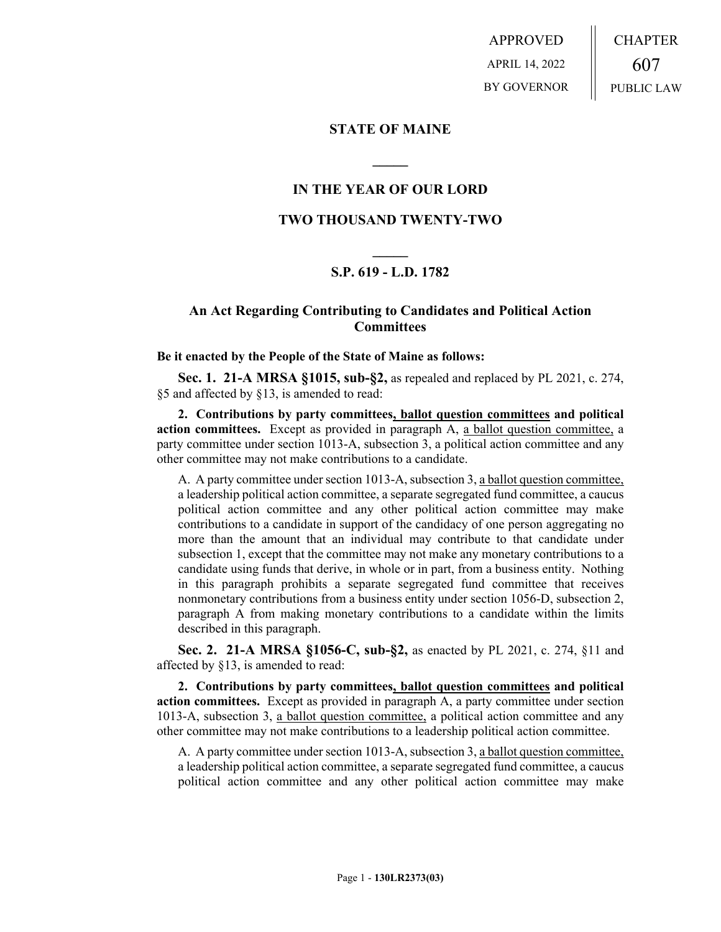APPROVED APRIL 14, 2022 BY GOVERNOR CHAPTER 607 PUBLIC LAW

**STATE OF MAINE**

## **IN THE YEAR OF OUR LORD**

**\_\_\_\_\_**

### **TWO THOUSAND TWENTY-TWO**

# **\_\_\_\_\_ S.P. 619 - L.D. 1782**

## **An Act Regarding Contributing to Candidates and Political Action Committees**

#### **Be it enacted by the People of the State of Maine as follows:**

**Sec. 1. 21-A MRSA §1015, sub-§2,** as repealed and replaced by PL 2021, c. 274, §5 and affected by §13, is amended to read:

**2. Contributions by party committees, ballot question committees and political action committees.** Except as provided in paragraph A, a ballot question committee, a party committee under section 1013-A, subsection 3, a political action committee and any other committee may not make contributions to a candidate.

A. A party committee under section 1013-A, subsection 3, a ballot question committee, a leadership political action committee, a separate segregated fund committee, a caucus political action committee and any other political action committee may make contributions to a candidate in support of the candidacy of one person aggregating no more than the amount that an individual may contribute to that candidate under subsection 1, except that the committee may not make any monetary contributions to a candidate using funds that derive, in whole or in part, from a business entity. Nothing in this paragraph prohibits a separate segregated fund committee that receives nonmonetary contributions from a business entity under section 1056-D, subsection 2, paragraph A from making monetary contributions to a candidate within the limits described in this paragraph.

**Sec. 2. 21-A MRSA §1056-C, sub-§2,** as enacted by PL 2021, c. 274, §11 and affected by §13, is amended to read:

**2. Contributions by party committees, ballot question committees and political action committees.** Except as provided in paragraph A, a party committee under section 1013-A, subsection 3, a ballot question committee, a political action committee and any other committee may not make contributions to a leadership political action committee.

A. A party committee under section 1013-A, subsection 3, a ballot question committee, a leadership political action committee, a separate segregated fund committee, a caucus political action committee and any other political action committee may make